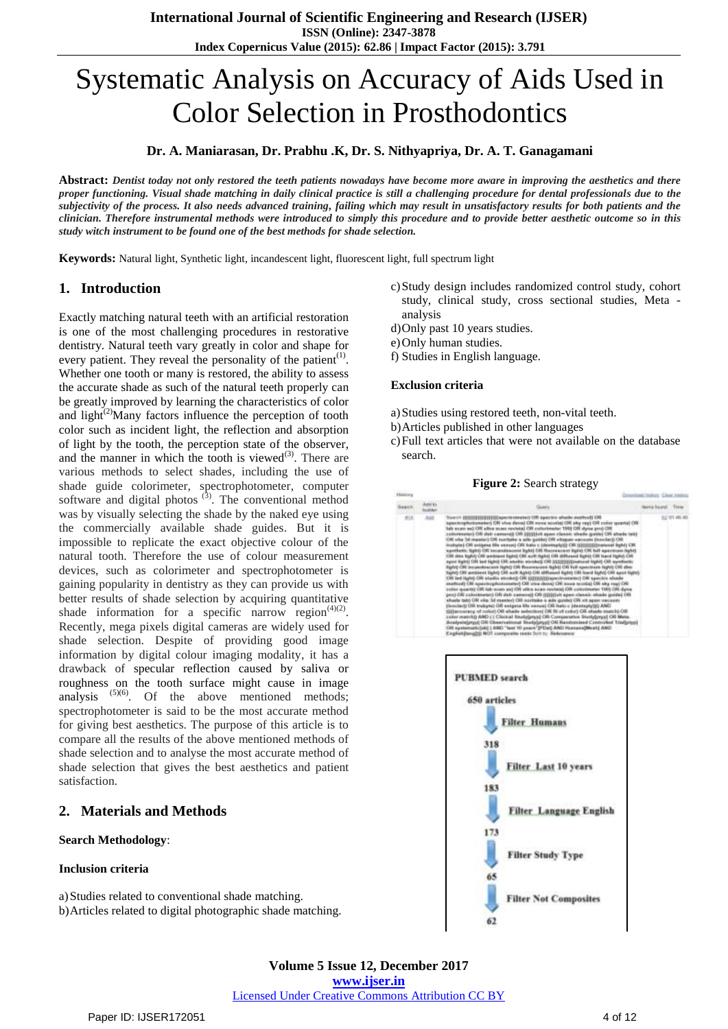# Systematic Analysis on Accuracy of Aids Used in Color Selection in Prosthodontics

**Dr. A. Maniarasan, Dr. Prabhu .K, Dr. S. Nithyapriya, Dr. A. T. Ganagamani**

**Abstract:** *Dentist today not only restored the teeth patients nowadays have become more aware in improving the aesthetics and there proper functioning. Visual shade matching in daily clinical practice is still a challenging procedure for dental professionals due to the subjectivity of the process. It also needs advanced training, failing which may result in unsatisfactory results for both patients and the clinician. Therefore instrumental methods were introduced to simply this procedure and to provide better aesthetic outcome so in this study witch instrument to be found one of the best methods for shade selection.*

**Keywords:** Natural light, Synthetic light, incandescent light, fluorescent light, full spectrum light

#### **1. Introduction**

Exactly matching natural teeth with an artificial restoration is one of the most challenging procedures in restorative dentistry. Natural teeth vary greatly in color and shape for every patient. They reveal the personality of the patient<sup>(1)</sup>. Whether one tooth or many is restored, the ability to assess the accurate shade as such of the natural teeth properly can be greatly improved by learning the characteristics of color and light $^{(2)}$ Many factors influence the perception of tooth color such as incident light, the reflection and absorption of light by the tooth, the perception state of the observer, and the manner in which the tooth is viewed $(3)$ . There are various methods to select shades, including the use of shade guide colorimeter, spectrophotometer, computer software and digital photos  $(3)$ . The conventional method was by visually selecting the shade by the naked eye using the commercially available shade guides. But it is impossible to replicate the exact objective colour of the natural tooth. Therefore the use of colour measurement devices, such as colorimeter and spectrophotometer is gaining popularity in dentistry as they can provide us with better results of shade selection by acquiring quantitative shade information for a specific narrow region<sup> $(4)(2)$ </sup>. Recently, mega pixels digital cameras are widely used for shade selection. Despite of providing good image information by digital colour imaging modality, it has a drawback of specular reflection caused by saliva or roughness on the tooth surface might cause in image analysis  $(5)(6)$ . Of the above mentioned methods; spectrophotometer is said to be the most accurate method for giving best aesthetics. The purpose of this article is to compare all the results of the above mentioned methods of shade selection and to analyse the most accurate method of shade selection that gives the best aesthetics and patient satisfaction.

## **2. Materials and Methods**

#### **Search Methodology**:

#### **Inclusion criteria**

a)Studies related to conventional shade matching. b)Articles related to digital photographic shade matching.

- c)Study design includes randomized control study, cohort study, clinical study, cross sectional studies, Meta analysis
- d)Only past 10 years studies.
- e)Only human studies.
- f) Studies in English language.

#### **Exclusion criteria**

- a)Studies using restored teeth, non-vital teeth.
- b)Articles published in other languages
- c)Full text articles that were not available on the database search.

#### **Figure 2:** Search strategy



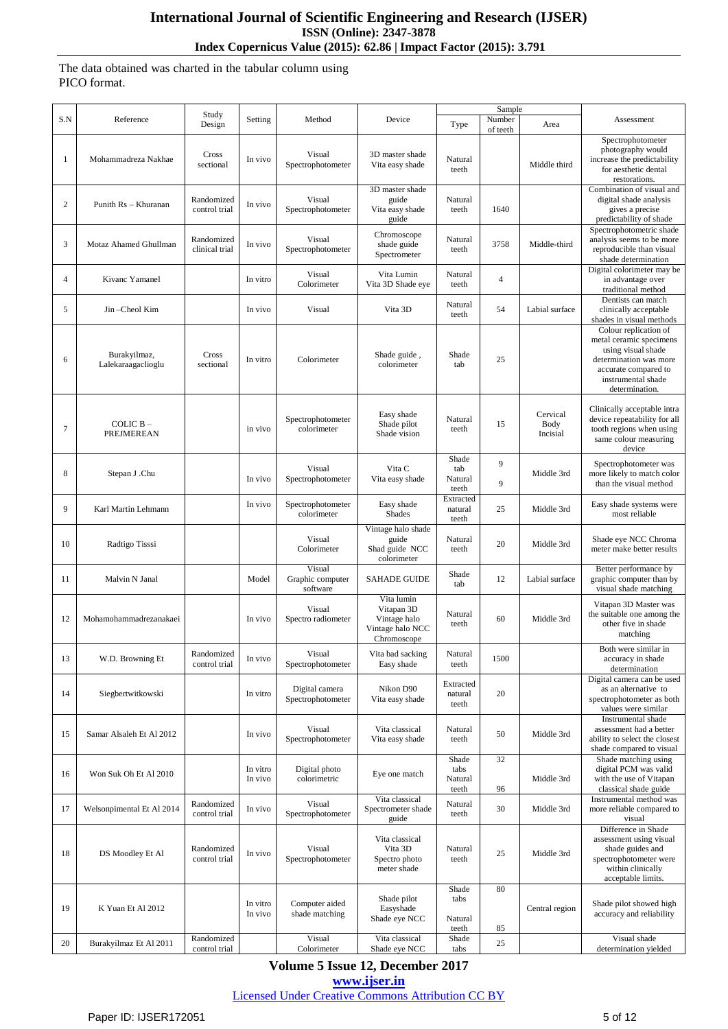The data obtained was charted in the tabular column using PICO format.

| S.N            | Reference                          | Study                        | Setting             | Method                                 | Device                                                                      |                                   | Sample<br>Number         |                              | Assessment                                                                                                                                                       |
|----------------|------------------------------------|------------------------------|---------------------|----------------------------------------|-----------------------------------------------------------------------------|-----------------------------------|--------------------------|------------------------------|------------------------------------------------------------------------------------------------------------------------------------------------------------------|
|                |                                    | Design                       |                     |                                        |                                                                             | Type                              | of teeth                 | Area                         |                                                                                                                                                                  |
| 1              | Mohammadreza Nakhae                | Cross<br>sectional           | In vivo             | Visual<br>Spectrophotometer            | 3D master shade<br>Vita easy shade                                          | Natural<br>teeth                  |                          | Middle third                 | Spectrophotometer<br>photography would<br>increase the predictability<br>for aesthetic dental<br>restorations.                                                   |
| $\overline{c}$ | Punith Rs - Khuranan               | Randomized<br>control trial  | In vivo             | Visual<br>Spectrophotometer            | 3D master shade<br>guide<br>Vita easy shade<br>guide                        | Natural<br>teeth                  | 1640                     |                              | Combination of visual and<br>digital shade analysis<br>gives a precise<br>predictability of shade                                                                |
| 3              | Motaz Ahamed Ghullman              | Randomized<br>clinical trial | In vivo             | Visual<br>Spectrophotometer            | Chromoscope<br>shade guide<br>Spectrometer                                  | Natural<br>teeth                  | 3758                     | Middle-third                 | Spectrophotometric shade<br>analysis seems to be more<br>reproducible than visual<br>shade determination                                                         |
| 4              | Kivanc Yamanel                     |                              | In vitro            | Visual<br>Colorimeter                  | Vita Lumin<br>Vita 3D Shade eye                                             | Natural<br>teeth                  | $\overline{\mathcal{L}}$ |                              | Digital colorimeter may be<br>in advantage over<br>traditional method                                                                                            |
| 5              | Jin-Cheol Kim                      |                              | In vivo             | Visual                                 | Vita 3D                                                                     | Natural<br>teeth                  | 54                       | Labial surface               | Dentists can match<br>clinically acceptable<br>shades in visual methods                                                                                          |
| 6              | Burakyilmaz,<br>Lalekaraagaclioglu | Cross<br>sectional           | In vitro            | Colorimeter                            | Shade guide,<br>colorimeter                                                 | Shade<br>tab                      | 25                       |                              | Colour replication of<br>metal ceramic specimens<br>using visual shade<br>determination was more<br>accurate compared to<br>instrumental shade<br>determination. |
| 7              | COLIC $B -$<br>PREJMEREAN          |                              | in vivo             | Spectrophotometer<br>colorimeter       | Easy shade<br>Shade pilot<br>Shade vision                                   | Natural<br>teeth                  | 15                       | Cervical<br>Body<br>Incisial | Clinically acceptable intra<br>device repeatability for all<br>tooth regions when using<br>same colour measuring<br>device                                       |
| 8              | Stepan J .Chu                      |                              | In vivo             | Visual<br>Spectrophotometer            | Vita C<br>Vita easy shade                                                   | Shade<br>tab<br>Natural<br>teeth  | 9<br>9                   | Middle 3rd                   | Spectrophotometer was<br>more likely to match color<br>than the visual method                                                                                    |
| 9              | Karl Martin Lehmann                |                              | In vivo             | Spectrophotometer<br>colorimeter       | Easy shade<br><b>Shades</b>                                                 | Extracted<br>natural<br>teeth     | 25                       | Middle 3rd                   | Easy shade systems were<br>most reliable                                                                                                                         |
| 10             | Radtigo Tisssi                     |                              |                     | Visual<br>Colorimeter                  | Vintage halo shade<br>guide<br>Shad guide NCC<br>colorimeter                | Natural<br>teeth                  | 20                       | Middle 3rd                   | Shade eye NCC Chroma<br>meter make better results                                                                                                                |
| 11             | Malvin N Janal                     |                              | Model               | Visual<br>Graphic computer<br>software | <b>SAHADE GUIDE</b>                                                         | Shade<br>tab                      | 12                       | Labial surface               | Better performance by<br>graphic computer than by<br>visual shade matching                                                                                       |
| 12             | Mohamohammadrezanakaei             |                              | In vivo             | Visual<br>Spectro radiometer           | Vita lumin<br>Vitapan 3D<br>Vintage halo<br>Vintage halo NCC<br>Chromoscope | Natural<br>teeth                  | 60                       | Middle 3rd                   | Vitapan 3D Master was<br>the suitable one among the<br>other five in shade<br>matching                                                                           |
| 13             | W.D. Browning Et                   | Randomized<br>control trial  | In vivo             | Visual<br>Spectrophotometer            | Vita bad sacking<br>Easy shade                                              | Natural<br>teeth                  | 1500                     |                              | Both were similar in<br>accuracy in shade<br>determination                                                                                                       |
| 14             | Siegbertwitkowski                  |                              | In vitro            | Digital camera<br>Spectrophotometer    | Nikon D90<br>Vita easy shade                                                | Extracted<br>natural<br>teeth     | 20                       |                              | Digital camera can be used<br>as an alternative to<br>spectrophotometer as both<br>values were similar                                                           |
| 15             | Samar Alsaleh Et Al 2012           |                              | In vivo             | Visual<br>Spectrophotometer            | Vita classical<br>Vita easy shade                                           | Natural<br>teeth                  | 50                       | Middle 3rd                   | Instrumental shade<br>assessment had a better<br>ability to select the closest<br>shade compared to visual                                                       |
| 16             | Won Suk Oh Et Al 2010              |                              | In vitro<br>In vivo | Digital photo<br>colorimetric          | Eye one match                                                               | Shade<br>tabs<br>Natural<br>teeth | 32<br>96                 | Middle 3rd                   | Shade matching using<br>digital PCM was valid<br>with the use of Vitapan<br>classical shade guide                                                                |
| 17             | Welsonpimental Et Al 2014          | Randomized<br>control trial  | In vivo             | Visual<br>Spectrophotometer            | Vita classical<br>Spectrometer shade<br>guide                               | Natural<br>teeth                  | 30                       | Middle 3rd                   | Instrumental method was<br>more reliable compared to<br>visual                                                                                                   |
| 18             | DS Moodley Et Al                   | Randomized<br>control trial  | In vivo             | Visual<br>Spectrophotometer            | Vita classical<br>Vita 3D<br>Spectro photo<br>meter shade                   | Natural<br>teeth                  | 25                       | Middle 3rd                   | Difference in Shade<br>assessment using visual<br>shade guides and<br>spectrophotometer were<br>within clinically<br>acceptable limits.                          |
| 19             | K Yuan Et Al 2012                  |                              | In vitro<br>In vivo | Computer aided<br>shade matching       | Shade pilot<br>Easyshade<br>Shade eye NCC                                   | Shade<br>tabs<br>Natural<br>teeth | 80<br>85                 | Central region               | Shade pilot showed high<br>accuracy and reliability                                                                                                              |
| 20             | Burakyilmaz Et Al 2011             | Randomized<br>control trial  |                     | Visual<br>Colorimeter                  | Vita classical<br>Shade eye NCC                                             | Shade<br>tabs                     | 25                       |                              | Visual shade<br>determination yielded                                                                                                                            |
|                |                                    |                              |                     |                                        |                                                                             |                                   |                          |                              |                                                                                                                                                                  |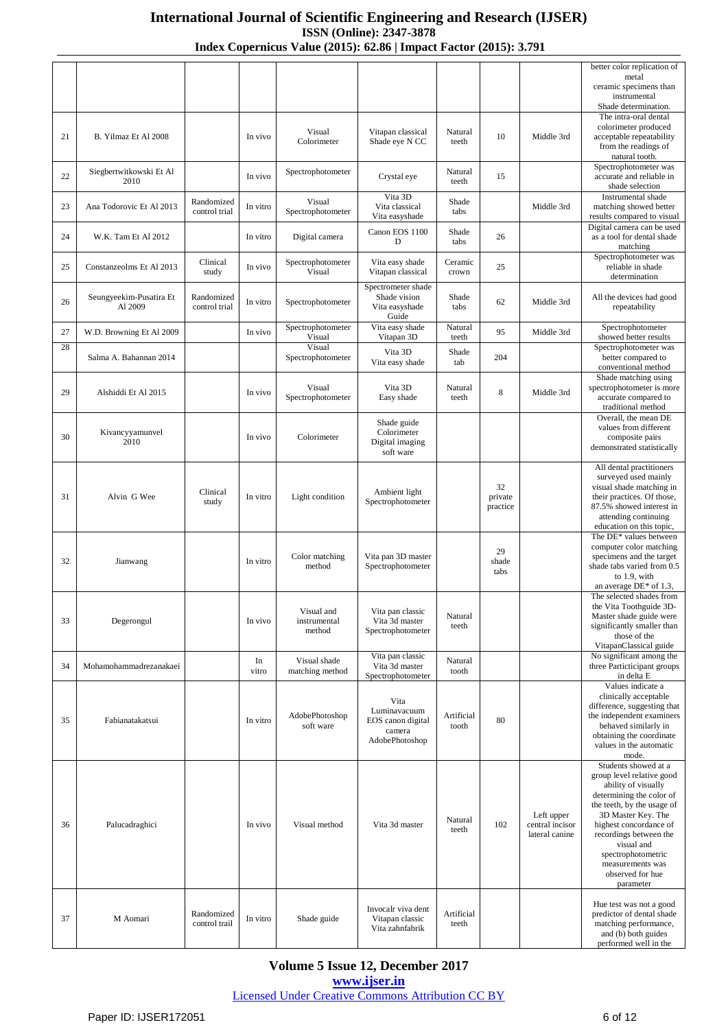|    |                          |                             |          |                             |                                         |                     |                     |                                   | better color replication of<br>metal                                 |
|----|--------------------------|-----------------------------|----------|-----------------------------|-----------------------------------------|---------------------|---------------------|-----------------------------------|----------------------------------------------------------------------|
|    |                          |                             |          |                             |                                         |                     |                     |                                   | ceramic specimens than<br>instrumental                               |
|    |                          |                             |          |                             |                                         |                     |                     |                                   | Shade determination.<br>The intra-oral dental                        |
| 21 | B. Yilmaz Et Al 2008     |                             | In vivo  | Visual                      | Vitapan classical                       | Natural             | 10                  | Middle 3rd                        | colorimeter produced<br>acceptable repeatability                     |
|    |                          |                             |          | Colorimeter                 | Shade eye N CC                          | teeth               |                     |                                   | from the readings of<br>natural tooth.                               |
| 22 | Siegbertwitkowski Et Al  |                             | In vivo  | Spectrophotometer           | Crystal eye                             | Natural             | 15                  |                                   | Spectrophotometer was<br>accurate and reliable in                    |
|    | 2010                     |                             |          |                             | Vita 3D                                 | teeth               |                     |                                   | shade selection<br>Instrumental shade                                |
| 23 | Ana Todorovic Et Al 2013 | Randomized<br>control trial | In vitro | Visual<br>Spectrophotometer | Vita classical<br>Vita easyshade        | Shade<br>tabs       |                     | Middle 3rd                        | matching showed better<br>results compared to visual                 |
| 24 | W.K. Tam Et Al 2012      |                             | In vitro | Digital camera              | Canon EOS 1100<br>D                     | Shade<br>tabs       | 26                  |                                   | Digital camera can be used<br>as a tool for dental shade<br>matching |
| 25 | Constanzeolms Et Al 2013 | Clinical<br>study           | In vivo  | Spectrophotometer<br>Visual | Vita easy shade<br>Vitapan classical    | Ceramic<br>crown    | 25                  |                                   | Spectrophotometer was<br>reliable in shade<br>determination          |
|    | Seungyeekim-Pusatira Et  | Randomized                  |          |                             | Spectrometer shade<br>Shade vision      | Shade               |                     |                                   | All the devices had good                                             |
| 26 | Al 2009                  | control trial               | In vitro | Spectrophotometer           | Vita easyshade<br>Guide                 | tabs                | 62                  | Middle 3rd                        | repeatability                                                        |
| 27 | W.D. Browning Et Al 2009 |                             | In vivo  | Spectrophotometer<br>Visual | Vita easy shade<br>Vitapan 3D           | Natural<br>teeth    | 95                  | Middle 3rd                        | Spectrophotometer<br>showed better results                           |
| 28 | Salma A. Bahannan 2014   |                             |          | Visual<br>Spectrophotometer | Vita 3D<br>Vita easy shade              | Shade<br>tab        | 204                 |                                   | Spectrophotometer was<br>better compared to<br>conventional method   |
|    |                          |                             |          | Visual                      | Vita 3D                                 | Natural             |                     |                                   | Shade matching using<br>spectrophotometer is more                    |
| 29 | Alshiddi Et Al 2015      |                             | In vivo  | Spectrophotometer           | Easy shade                              | teeth               | 8                   | Middle 3rd                        | accurate compared to<br>traditional method                           |
|    | Kivancyyamunvel          |                             |          |                             | Shade guide<br>Colorimeter              |                     |                     |                                   | Overall, the mean DE<br>values from different                        |
| 30 | 2010                     |                             | In vivo  | Colorimeter                 | Digital imaging<br>soft ware            |                     |                     |                                   | composite pairs<br>demonstrated statistically                        |
|    |                          |                             |          |                             |                                         |                     |                     |                                   | All dental practitioners                                             |
|    |                          | Clinical                    |          |                             | Ambient light                           |                     | 32                  |                                   | surveyed used mainly<br>visual shade matching in                     |
| 31 | Alvin G Wee              | study                       | In vitro | Light condition             | Spectrophotometer                       |                     | private<br>practice |                                   | their practices. Of those,<br>87.5% showed interest in               |
|    |                          |                             |          |                             |                                         |                     |                     |                                   | attending continuing<br>education on this topic,                     |
|    |                          |                             |          |                             |                                         |                     | 29                  |                                   | The DE* values between<br>computer color matching                    |
| 32 | Jianwang                 |                             | In vitro | Color matching<br>method    | Vita pan 3D master<br>Spectrophotometer |                     | shade               |                                   | specimens and the target<br>shade tabs varied from 0.5               |
|    |                          |                             |          |                             |                                         |                     | tabs                |                                   | to 1.9, with<br>an average $DE^*$ of 1.3,                            |
|    |                          |                             |          |                             |                                         |                     |                     |                                   | The selected shades from<br>the Vita Toothguide 3D-                  |
| 33 | Degerongul               |                             | In vivo  | Visual and<br>instrumental  | Vita pan classic<br>Vita 3d master      | Natural<br>teeth    |                     |                                   | Master shade guide were<br>significantly smaller than                |
|    |                          |                             |          | method                      | Spectrophotometer                       |                     |                     |                                   | those of the<br>VitapanClassical guide                               |
| 34 | Mohamohammadrezanakaei   |                             | In       | Visual shade                | Vita pan classic<br>Vita 3d master      | Natural             |                     |                                   | No significant among the<br>three Particticipant groups              |
|    |                          |                             | vitro    | matching method             | Spectrophotometer                       | tooth               |                     |                                   | in delta E<br>Values indicate a                                      |
|    |                          |                             |          |                             | Vita                                    |                     |                     |                                   | clinically acceptable<br>difference, suggesting that                 |
| 35 | Fabianatakatsui          |                             | In vitro | AdobePhotoshop<br>soft ware | Luminavacuum<br>EOS canon digital       | Artificial<br>tooth | 80                  |                                   | the independent examiners<br>behaved similarly in                    |
|    |                          |                             |          |                             | camera<br>AdobePhotoshop                |                     |                     |                                   | obtaining the coordinate                                             |
|    |                          |                             |          |                             |                                         |                     |                     |                                   | values in the automatic<br>mode.                                     |
|    |                          |                             |          |                             |                                         |                     |                     |                                   | Students showed at a<br>group level relative good                    |
|    |                          |                             |          |                             |                                         |                     |                     |                                   | ability of visually<br>determining the color of                      |
|    |                          |                             |          |                             |                                         | Natural             |                     | Left upper                        | the teeth, by the usage of<br>3D Master Key. The                     |
| 36 | Palucadraghici           |                             | In vivo  | Visual method               | Vita 3d master                          | teeth               | 102                 | central incisor<br>lateral canine | highest concordance of<br>recordings between the                     |
|    |                          |                             |          |                             |                                         |                     |                     |                                   | visual and<br>spectrophotometric                                     |
|    |                          |                             |          |                             |                                         |                     |                     |                                   | measurements was<br>observed for hue                                 |
|    |                          |                             |          |                             |                                         |                     |                     |                                   | parameter                                                            |
| 37 | M Aomari                 | Randomized                  | In vitro | Shade guide                 | Invocalr viva dent<br>Vitapan classic   | Artificial          |                     |                                   | Hue test was not a good<br>predictor of dental shade                 |
|    |                          | control trail               |          |                             | Vita zahnfabrik                         | teeth               |                     |                                   | matching performance,<br>and (b) both guides                         |
|    |                          |                             |          |                             |                                         |                     |                     |                                   | performed well in the                                                |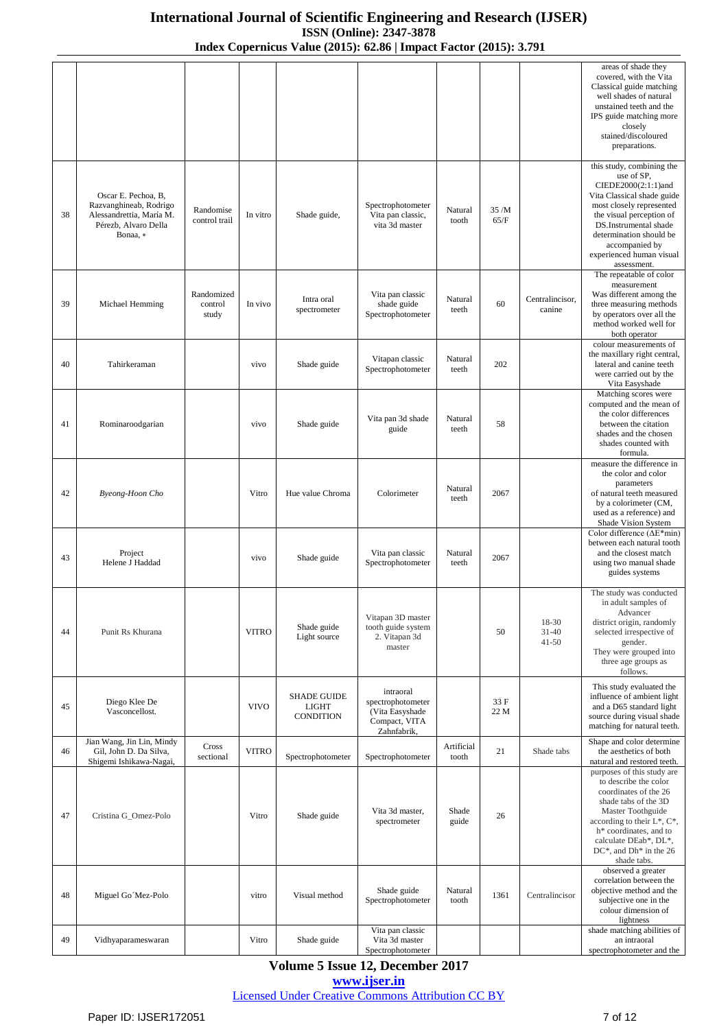|    |                                                                                                               |                                |              |                                                        |                                                                                   |                     |               |                                 | areas of shade they<br>covered, with the Vita<br>Classical guide matching<br>well shades of natural<br>unstained teeth and the<br>IPS guide matching more<br>closely<br>stained/discoloured<br>preparations.                                                          |
|----|---------------------------------------------------------------------------------------------------------------|--------------------------------|--------------|--------------------------------------------------------|-----------------------------------------------------------------------------------|---------------------|---------------|---------------------------------|-----------------------------------------------------------------------------------------------------------------------------------------------------------------------------------------------------------------------------------------------------------------------|
| 38 | Oscar E. Pechoa, B,<br>Razvanghineab, Rodrigo<br>Alessandrettia, María M.<br>Pérezb, Alvaro Della<br>Bonaa, * | Randomise<br>control trail     | In vitro     | Shade guide,                                           | Spectrophotometer<br>Vita pan classic,<br>vita 3d master                          | Natural<br>tooth    | 35 /M<br>65/F |                                 | this study, combining the<br>use of SP,<br>CIEDE2000(2:1:1)and<br>Vita Classical shade guide<br>most closely represented<br>the visual perception of<br>DS.Instrumental shade<br>determination should be<br>accompanied by<br>experienced human visual<br>assessment. |
| 39 | Michael Hemming                                                                                               | Randomized<br>control<br>study | In vivo      | Intra oral<br>spectrometer                             | Vita pan classic<br>shade guide<br>Spectrophotometer                              | Natural<br>teeth    | 60            | Centralincisor,<br>canine       | The repeatable of color<br>measurement<br>Was different among the<br>three measuring methods<br>by operators over all the<br>method worked well for<br>both operator                                                                                                  |
| 40 | Tahirkeraman                                                                                                  |                                | vivo         | Shade guide                                            | Vitapan classic<br>Spectrophotometer                                              | Natural<br>teeth    | 202           |                                 | colour measurements of<br>the maxillary right central.<br>lateral and canine teeth<br>were carried out by the<br>Vita Easyshade                                                                                                                                       |
| 41 | Rominaroodgarian                                                                                              |                                | vivo         | Shade guide                                            | Vita pan 3d shade<br>guide                                                        | Natural<br>teeth    | 58            |                                 | Matching scores were<br>computed and the mean of<br>the color differences<br>between the citation<br>shades and the chosen<br>shades counted with<br>formula.                                                                                                         |
| 42 | Byeong-Hoon Cho                                                                                               |                                | Vitro        | Hue value Chroma                                       | Colorimeter                                                                       | Natural<br>teeth    | 2067          |                                 | measure the difference in<br>the color and color<br>parameters<br>of natural teeth measured<br>by a colorimeter (CM,<br>used as a reference) and<br>Shade Vision System                                                                                               |
| 43 | Project<br>Helene J Haddad                                                                                    |                                | vivo         | Shade guide                                            | Vita pan classic<br>Spectrophotometer                                             | Natural<br>teeth    | 2067          |                                 | Color difference ( $\Delta E^*$ min)<br>between each natural tooth<br>and the closest match<br>using two manual shade<br>guides systems                                                                                                                               |
| 44 | Punit Rs Khurana                                                                                              |                                | <b>VITRO</b> | Shade guide<br>Light source                            | Vitapan 3D master<br>tooth guide system<br>2. Vitapan 3d<br>master                |                     | 50            | 18-30<br>$31 - 40$<br>$41 - 50$ | The study was conducted<br>in adult samples of<br>Advancer<br>district origin, randomly<br>selected irrespective of<br>gender.<br>They were grouped into<br>three age groups as<br>follows.                                                                           |
| 45 | Diego Klee De<br>Vasconcellost.                                                                               |                                | <b>VIVO</b>  | <b>SHADE GUIDE</b><br><b>LIGHT</b><br><b>CONDITION</b> | intraoral<br>spectrophotometer<br>(Vita Easyshade<br>Compact, VITA<br>Zahnfabrik, |                     | 33 F<br>22 M  |                                 | This study evaluated the<br>influence of ambient light<br>and a D65 standard light<br>source during visual shade<br>matching for natural teeth.                                                                                                                       |
| 46 | Jian Wang, Jin Lin, Mindy<br>Gil, John D. Da Silva,<br>Shigemi Ishikawa-Nagai,                                | Cross<br>sectional             | <b>VITRO</b> | Spectrophotometer                                      | Spectrophotometer                                                                 | Artificial<br>tooth | 21            | Shade tabs                      | Shape and color determine<br>the aesthetics of both<br>natural and restored teeth.                                                                                                                                                                                    |
| 47 | Cristina G_Omez-Polo                                                                                          |                                | Vitro        | Shade guide                                            | Vita 3d master,<br>spectrometer                                                   | Shade<br>guide      | 26            |                                 | purposes of this study are<br>to describe the color<br>coordinates of the 26<br>shade tabs of the 3D<br>Master Toothguide<br>according to their $L^*$ , $C^*$ ,<br>h* coordinates, and to<br>calculate DEab*, DL*,<br>$DC^*$ , and $Dh^*$ in the 26<br>shade tabs.    |
| 48 | Miguel Go Mez-Polo                                                                                            |                                | vitro        | Visual method                                          | Shade guide<br>Spectrophotometer                                                  | Natural<br>tooth    | 1361          | Centralincisor                  | observed a greater<br>correlation between the<br>objective method and the<br>subjective one in the<br>colour dimension of<br>lightness                                                                                                                                |
| 49 | Vidhyaparameswaran                                                                                            |                                | Vitro        | Shade guide                                            | Vita pan classic<br>Vita 3d master<br>Spectrophotometer                           |                     |               |                                 | shade matching abilities of<br>an intraoral<br>spectrophotometer and the                                                                                                                                                                                              |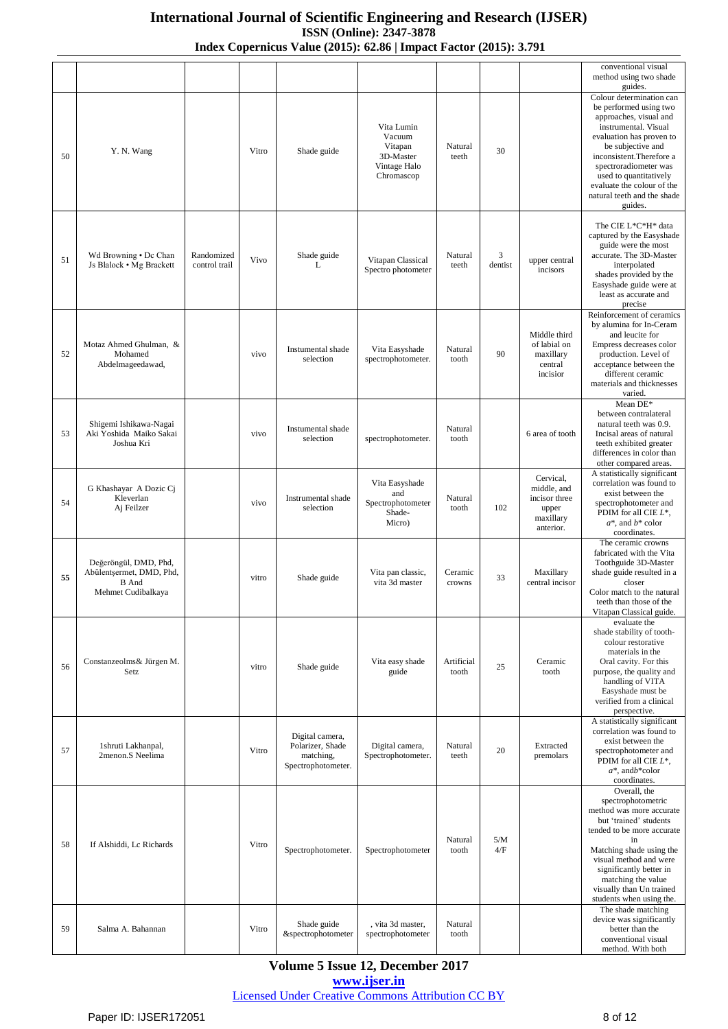|    |                                                                                         |                             |       |                                                                        |                                                                            |                     |                           |                                                                              | conventional visual<br>method using two shade<br>guides.                                                                                                                                                                                                                                                     |
|----|-----------------------------------------------------------------------------------------|-----------------------------|-------|------------------------------------------------------------------------|----------------------------------------------------------------------------|---------------------|---------------------------|------------------------------------------------------------------------------|--------------------------------------------------------------------------------------------------------------------------------------------------------------------------------------------------------------------------------------------------------------------------------------------------------------|
| 50 | Y. N. Wang                                                                              |                             | Vitro | Shade guide                                                            | Vita Lumin<br>Vacuum<br>Vitapan<br>3D-Master<br>Vintage Halo<br>Chromascop | Natural<br>teeth    | 30                        |                                                                              | Colour determination can<br>be performed using two<br>approaches, visual and<br>instrumental. Visual<br>evaluation has proven to<br>be subjective and<br>inconsistent.Therefore a<br>spectroradiometer was<br>used to quantitatively<br>evaluate the colour of the<br>natural teeth and the shade<br>guides. |
| 51 | Wd Browning . Dc Chan<br>Js Blalock • Mg Brackett                                       | Randomized<br>control trail | Vivo  | Shade guide<br>L                                                       | Vitapan Classical<br>Spectro photometer                                    | Natural<br>teeth    | $\mathfrak{Z}$<br>dentist | upper central<br>incisors                                                    | The CIE L*C*H* data<br>captured by the Easyshade<br>guide were the most<br>accurate. The 3D-Master<br>interpolated<br>shades provided by the<br>Easyshade guide were at<br>least as accurate and<br>precise                                                                                                  |
| 52 | Motaz Ahmed Ghulman, &<br>Mohamed<br>Abdelmageedawad,                                   |                             | vivo  | Instumental shade<br>selection                                         | Vita Easyshade<br>spectrophotometer.                                       | Natural<br>tooth    | 90                        | Middle third<br>of labial on<br>maxillary<br>central<br>incisior             | Reinforcement of ceramics<br>by alumina for In-Ceram<br>and leucite for<br>Empress decreases color<br>production. Level of<br>acceptance between the<br>different ceramic<br>materials and thicknesses<br>varied.                                                                                            |
| 53 | Shigemi Ishikawa-Nagai<br>Aki Yoshida Maiko Sakai<br>Joshua Kri                         |                             | vivo  | Instumental shade<br>selection                                         | spectrophotometer.                                                         | Natural<br>tooth    |                           | 6 area of tooth                                                              | Mean DE*<br>between contralateral<br>natural teeth was 0.9.<br>Incisal areas of natural<br>teeth exhibited greater<br>differences in color than<br>other compared areas.                                                                                                                                     |
| 54 | G Khashayar A Dozic Ci<br>Kleverlan<br>Aj Feilzer                                       |                             | vivo  | Instrumental shade<br>selection                                        | Vita Easyshade<br>and<br>Spectrophotometer<br>Shade-<br>Micro)             | Natural<br>tooth    | 102                       | Cervical,<br>middle, and<br>incisor three<br>upper<br>maxillary<br>anterior. | A statistically significant<br>correlation was found to<br>exist between the<br>spectrophotometer and<br>PDIM for all CIE $L^*$ ,<br>$a^*$ , and $b^*$ color<br>coordinates.                                                                                                                                 |
| 55 | Değeröngül, DMD, Phd,<br>Abülentşermet, DMD, Phd,<br><b>B</b> And<br>Mehmet Cudibalkaya |                             | vitro | Shade guide                                                            | Vita pan classic,<br>vita 3d master                                        | Ceramic<br>crowns   | 33                        | Maxillary<br>central incisor                                                 | The ceramic crowns<br>fabricated with the Vita<br>Toothguide 3D-Master<br>shade guide resulted in a<br>closer<br>Color match to the natural<br>teeth than those of the                                                                                                                                       |
| 56 | Constanzeolms& Jürgen M.<br>Setz                                                        |                             | vitro | Shade guide                                                            | Vita easy shade<br>guide                                                   | Artificial<br>tooth | 25                        | Ceramic<br>tooth                                                             | Vitapan Classical guide.<br>evaluate the<br>shade stability of tooth-<br>colour restorative<br>materials in the<br>Oral cavity. For this<br>purpose, the quality and<br>handling of VITA<br>Easyshade must be<br>verified from a clinical<br>perspective.                                                    |
| 57 | 1shruti Lakhanpal,<br>2menon.S Neelima                                                  |                             | Vitro | Digital camera,<br>Polarizer, Shade<br>matching,<br>Spectrophotometer. | Digital camera,<br>Spectrophotometer.                                      | Natural<br>teeth    | 20                        | Extracted<br>premolars                                                       | A statistically significant<br>correlation was found to<br>exist between the<br>spectrophotometer and<br>PDIM for all CIE $L^*$ ,<br>$a^*$ , and $b^*$ color<br>coordinates.                                                                                                                                 |
| 58 | If Alshiddi, Lc Richards                                                                |                             | Vitro | Spectrophotometer.                                                     | Spectrophotometer                                                          | Natural<br>tooth    | 5/M<br>4/F                |                                                                              | Overall, the<br>spectrophotometric<br>method was more accurate<br>but 'trained' students<br>tended to be more accurate<br>in<br>Matching shade using the<br>visual method and were<br>significantly better in<br>matching the value<br>visually than Un trained<br>students when using the.                  |
| 59 | Salma A. Bahannan                                                                       |                             | Vitro | Shade guide<br>&spectrophotometer                                      | , vita 3d master,<br>spectrophotometer                                     | Natural<br>tooth    |                           |                                                                              | The shade matching<br>device was significantly<br>better than the<br>conventional visual<br>method. With both                                                                                                                                                                                                |

**Volume 5 Issue 12, December 2017 <www.ijser.in>**

[Licensed Under Creative Commons Attribution CC BY](http://creativecommons.org/licenses/by/4.0/)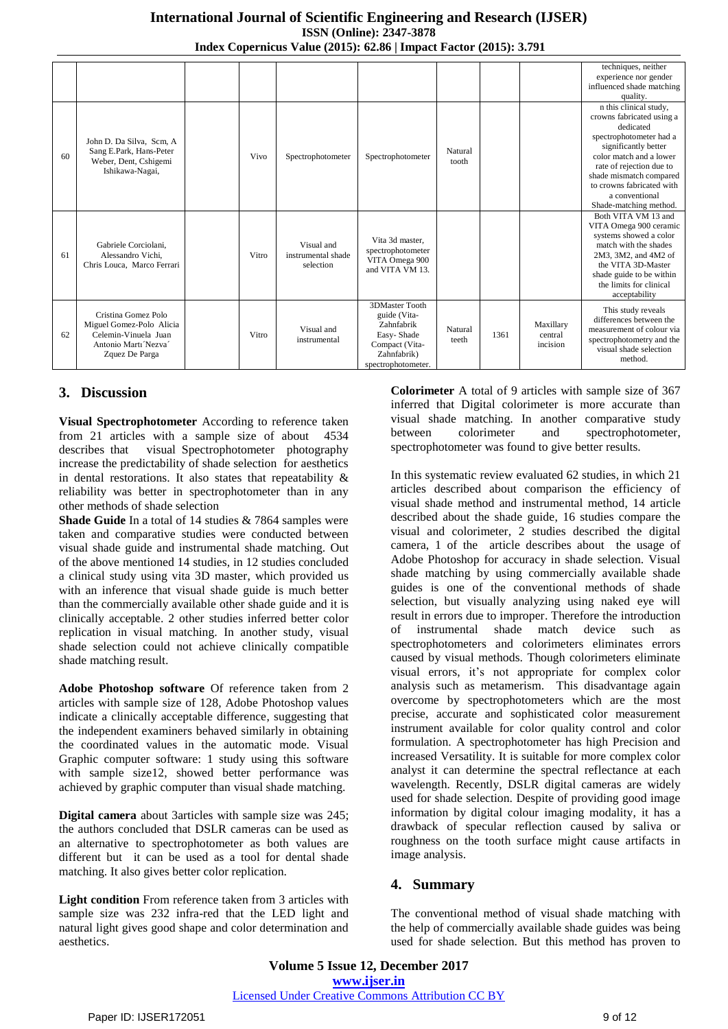|    |                                                                                                                  |       |                                               |                                                                                                                          |                  |      |                                  | techniques, neither<br>experience nor gender<br>influenced shade matching<br>quality.                                                                                                                                                                                          |
|----|------------------------------------------------------------------------------------------------------------------|-------|-----------------------------------------------|--------------------------------------------------------------------------------------------------------------------------|------------------|------|----------------------------------|--------------------------------------------------------------------------------------------------------------------------------------------------------------------------------------------------------------------------------------------------------------------------------|
| 60 | John D. Da Silva. Scm. A<br>Sang E.Park, Hans-Peter<br>Weber, Dent, Cshigemi<br>Ishikawa-Nagai,                  | Vivo  | Spectrophotometer                             | Spectrophotometer                                                                                                        | Natural<br>tooth |      |                                  | n this clinical study,<br>crowns fabricated using a<br>dedicated<br>spectrophotometer had a<br>significantly better<br>color match and a lower<br>rate of rejection due to<br>shade mismatch compared<br>to crowns fabricated with<br>a conventional<br>Shade-matching method. |
| 61 | Gabriele Corciolani,<br>Alessandro Vichi.<br>Chris Louca, Marco Ferrari                                          | Vitro | Visual and<br>instrumental shade<br>selection | Vita 3d master.<br>spectrophotometer<br>VITA Omega 900<br>and VITA VM 13.                                                |                  |      |                                  | Both VITA VM 13 and<br>VITA Omega 900 ceramic<br>systems showed a color<br>match with the shades<br>2M3, 3M2, and 4M2 of<br>the VITA 3D-Master<br>shade guide to be within<br>the limits for clinical<br>acceptability                                                         |
| 62 | Cristina Gomez Polo<br>Miguel Gomez-Polo Alicia<br>Celemin-Vinuela Juan<br>Antonio Marti Nezva<br>Zquez De Parga | Vitro | Visual and<br>instrumental                    | <b>3DMaster Tooth</b><br>guide (Vita-<br>Zahnfabrik<br>Easy-Shade<br>Compact (Vita-<br>Zahnfabrik)<br>spectrophotometer. | Natural<br>teeth | 1361 | Maxillary<br>central<br>incision | This study reveals<br>differences between the<br>measurement of colour via<br>spectrophotometry and the<br>visual shade selection<br>method.                                                                                                                                   |

## **3. Discussion**

**Visual Spectrophotometer** According to reference taken from 21 articles with a sample size of about 4534 describes that visual Spectrophotometer photography increase the predictability of shade selection for aesthetics in dental restorations. It also states that repeatability  $\&$ reliability was better in spectrophotometer than in any other methods of shade selection

**Shade Guide** In a total of 14 studies & 7864 samples were taken and comparative studies were conducted between visual shade guide and instrumental shade matching. Out of the above mentioned 14 studies, in 12 studies concluded a clinical study using vita 3D master, which provided us with an inference that visual shade guide is much better than the commercially available other shade guide and it is clinically acceptable. 2 other studies inferred better color replication in visual matching. In another study, visual shade selection could not achieve clinically compatible shade matching result.

**Adobe Photoshop software** Of reference taken from 2 articles with sample size of 128, Adobe Photoshop values indicate a clinically acceptable difference, suggesting that the independent examiners behaved similarly in obtaining the coordinated values in the automatic mode. Visual Graphic computer software: 1 study using this software with sample size12, showed better performance was achieved by graphic computer than visual shade matching.

**Digital camera** about 3articles with sample size was 245; the authors concluded that DSLR cameras can be used as an alternative to spectrophotometer as both values are different but it can be used as a tool for dental shade matching. It also gives better color replication.

**Light condition** From reference taken from 3 articles with sample size was 232 infra-red that the LED light and natural light gives good shape and color determination and aesthetics.

**Colorimeter** A total of 9 articles with sample size of 367 inferred that Digital colorimeter is more accurate than visual shade matching. In another comparative study between colorimeter and spectrophotometer, spectrophotometer was found to give better results.

In this systematic review evaluated 62 studies, in which 21 articles described about comparison the efficiency of visual shade method and instrumental method, 14 article described about the shade guide, 16 studies compare the visual and colorimeter, 2 studies described the digital camera, 1 of the article describes about the usage of Adobe Photoshop for accuracy in shade selection. Visual shade matching by using commercially available shade guides is one of the conventional methods of shade selection, but visually analyzing using naked eye will result in errors due to improper. Therefore the introduction of instrumental shade match device such as spectrophotometers and colorimeters eliminates errors caused by visual methods. Though colorimeters eliminate visual errors, it's not appropriate for complex color analysis such as metamerism. This disadvantage again overcome by spectrophotometers which are the most precise, accurate and sophisticated color measurement instrument available for color quality control and color formulation. A spectrophotometer has high Precision and increased Versatility. It is suitable for more complex color analyst it can determine the spectral reflectance at each wavelength. Recently, DSLR digital cameras are widely used for shade selection. Despite of providing good image information by digital colour imaging modality, it has a drawback of specular reflection caused by saliva or roughness on the tooth surface might cause artifacts in image analysis.

## **4. Summary**

The conventional method of visual shade matching with the help of commercially available shade guides was being used for shade selection. But this method has proven to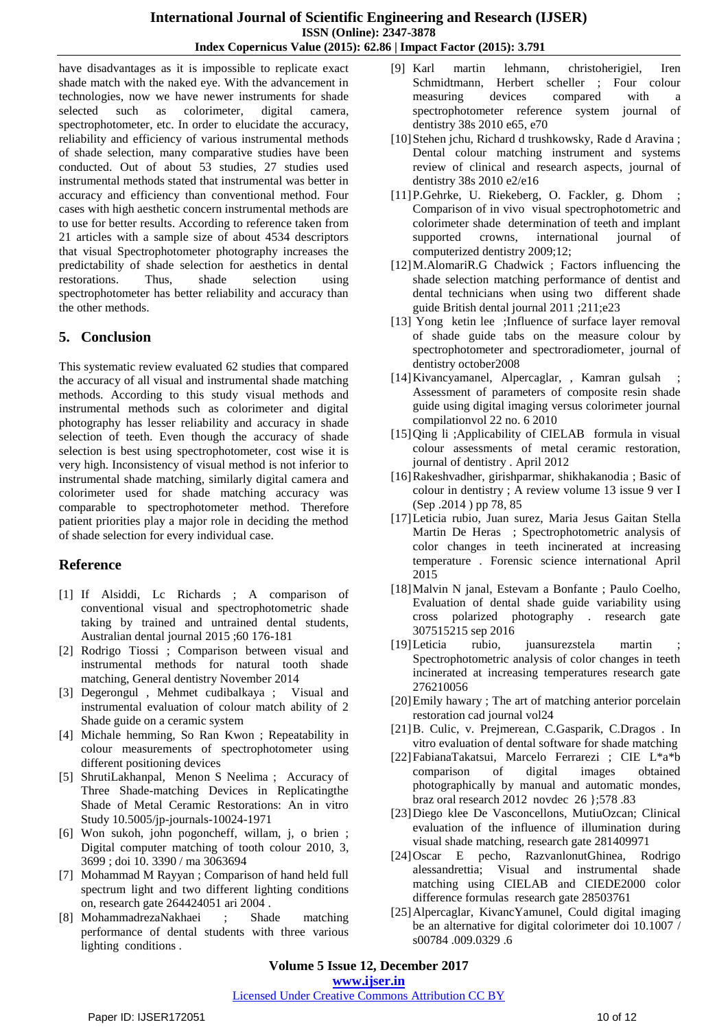have disadvantages as it is impossible to replicate exact shade match with the naked eye. With the advancement in technologies, now we have newer instruments for shade selected such as colorimeter, digital camera, spectrophotometer, etc. In order to elucidate the accuracy, reliability and efficiency of various instrumental methods of shade selection, many comparative studies have been conducted. Out of about 53 studies, 27 studies used instrumental methods stated that instrumental was better in accuracy and efficiency than conventional method. Four cases with high aesthetic concern instrumental methods are to use for better results. According to reference taken from 21 articles with a sample size of about 4534 descriptors that visual Spectrophotometer photography increases the predictability of shade selection for aesthetics in dental restorations. Thus, shade selection using spectrophotometer has better reliability and accuracy than the other methods.

#### **5. Conclusion**

This systematic review evaluated 62 studies that compared the accuracy of all visual and instrumental shade matching methods. According to this study visual methods and instrumental methods such as colorimeter and digital photography has lesser reliability and accuracy in shade selection of teeth. Even though the accuracy of shade selection is best using spectrophotometer, cost wise it is very high. Inconsistency of visual method is not inferior to instrumental shade matching, similarly digital camera and colorimeter used for shade matching accuracy was comparable to spectrophotometer method. Therefore patient priorities play a major role in deciding the method of shade selection for every individual case.

## **Reference**

- [1] If Alsiddi, Lc Richards ; A comparison of conventional visual and spectrophotometric shade taking by trained and untrained dental students, Australian dental journal 2015 ;60 176-181
- [2] Rodrigo Tiossi ; Comparison between visual and instrumental methods for natural tooth shade matching, General dentistry November 2014
- [3] Degerongul , Mehmet cudibalkaya ; Visual and instrumental evaluation of colour match ability of 2 Shade guide on a ceramic system
- [4] Michale hemming, So Ran Kwon ; Repeatability in colour measurements of spectrophotometer using different positioning devices
- [5] ShrutiLakhanpal, Menon S Neelima ; Accuracy of Three Shade-matching Devices in Replicatingthe Shade of Metal Ceramic Restorations: An in vitro Study 10.5005/jp-journals-10024-1971
- [6] Won sukoh, john pogoncheff, willam, j, o brien ; Digital computer matching of tooth colour 2010, 3, 3699 ; doi 10. 3390 / ma 3063694
- [7] Mohammad M Rayyan ; Comparison of hand held full spectrum light and two different lighting conditions on, research gate 264424051 ari 2004 .
- [8] MohammadrezaNakhaei ; Shade matching performance of dental students with three various lighting conditions .
- [9] Karl martin lehmann, christoherigiel, Iren Schmidtmann, Herbert scheller ; Four colour measuring devices compared with a spectrophotometer reference system journal of dentistry 38s 2010 e65, e70
- [10] Stehen jchu, Richard d trushkowsky, Rade d Aravina; Dental colour matching instrument and systems review of clinical and research aspects, journal of dentistry 38s 2010 e2/e16
- [11]P.Gehrke, U. Riekeberg, O. Fackler, g. Dhom ; Comparison of in vivo visual spectrophotometric and colorimeter shade determination of teeth and implant supported crowns, international journal of computerized dentistry 2009;12;
- [12]M.AlomariR.G Chadwick ; Factors influencing the shade selection matching performance of dentist and dental technicians when using two different shade guide British dental journal 2011 ;211;e23
- [13] Yong ketin lee ;Influence of surface layer removal of shade guide tabs on the measure colour by spectrophotometer and spectroradiometer, journal of dentistry october2008
- [14]Kivancyamanel, Alpercaglar, , Kamran gulsah ; Assessment of parameters of composite resin shade guide using digital imaging versus colorimeter journal compilationvol 22 no. 6 2010
- [15]Qing li ;Applicability of CIELAB formula in visual colour assessments of metal ceramic restoration, journal of dentistry . April 2012
- [16]Rakeshvadher, girishparmar, shikhakanodia ; Basic of colour in dentistry ; A review volume 13 issue 9 ver I (Sep .2014 ) pp 78, 85
- [17]Leticia rubio, Juan surez, Maria Jesus Gaitan Stella Martin De Heras ; Spectrophotometric analysis of color changes in teeth incinerated at increasing temperature . Forensic science international April 2015
- [18]Malvin N janal, Estevam a Bonfante ; Paulo Coelho, Evaluation of dental shade guide variability using cross polarized photography . research gate 307515215 sep 2016
- [19] Leticia rubio, juansurezstela martin Spectrophotometric analysis of color changes in teeth incinerated at increasing temperatures research gate 276210056
- [20]Emily hawary ; The art of matching anterior porcelain restoration cad journal vol24
- [21]B. Culic, v. Prejmerean, C.Gasparik, C.Dragos . In vitro evaluation of dental software for shade matching
- [22]FabianaTakatsui, Marcelo Ferrarezi ; CIE L\*a\*b comparison of digital images obtained photographically by manual and automatic mondes, braz oral research 2012 novdec 26 };578 .83
- [23]Diego klee De Vasconcellons, MutiuOzcan; Clinical evaluation of the influence of illumination during visual shade matching, research gate 281409971
- [24]Oscar E pecho, RazvanlonutGhinea, Rodrigo alessandrettia; Visual and instrumental shade matching using CIELAB and CIEDE2000 color difference formulas research gate 28503761
- [25]Alpercaglar, KivancYamunel, Could digital imaging be an alternative for digital colorimeter doi 10.1007 / s00784 .009.0329 .6

**Volume 5 Issue 12, December 2017 <www.ijser.in>**

#### [Licensed Under Creative Commons Attribution CC BY](http://creativecommons.org/licenses/by/4.0/)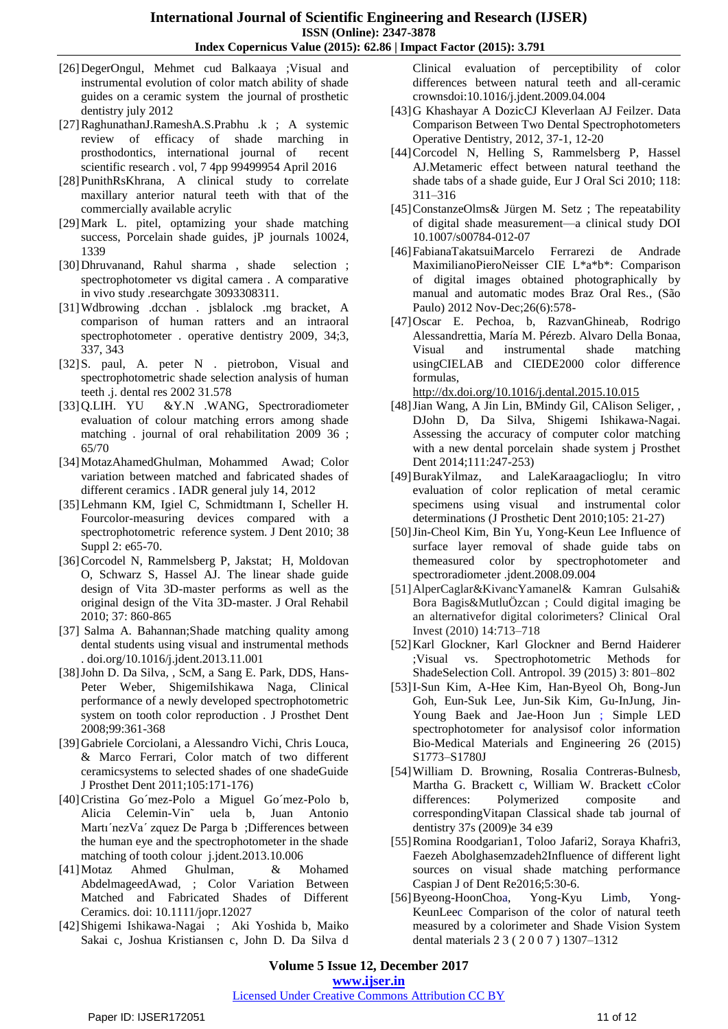- [26]DegerOngul, Mehmet cud Balkaaya ;Visual and instrumental evolution of color match ability of shade guides on a ceramic system the journal of prosthetic dentistry july 2012
- [27]RaghunathanJ.RameshA.S.Prabhu .k ; A systemic review of efficacy of shade marching in prosthodontics, international journal of recent scientific research . vol, 7 4pp 99499954 April 2016
- [28]PunithRsKhrana, A clinical study to correlate maxillary anterior natural teeth with that of the commercially available acrylic
- [29]Mark L. pitel, optamizing your shade matching success, Porcelain shade guides, jP journals 10024, 1339
- [30]Dhruvanand, Rahul sharma , shade selection ; spectrophotometer vs digital camera . A comparative in vivo study .researchgate 3093308311.
- [31]Wdbrowing .dcchan . jsblalock .mg bracket, A comparison of human ratters and an intraoral spectrophotometer . operative dentistry 2009, 34;3, 337, 343
- [32]S. paul, A. peter N . pietrobon, Visual and spectrophotometric shade selection analysis of human teeth .j. dental res 2002 31.578
- [33]Q.LIH. YU &Y.N .WANG, Spectroradiometer evaluation of colour matching errors among shade matching . journal of oral rehabilitation 2009 36 ; 65/70
- [34]MotazAhamedGhulman, Mohammed Awad; Color variation between matched and fabricated shades of different ceramics . IADR general july 14, 2012
- [35]Lehmann KM, Igiel C, Schmidtmann I, Scheller H. Fourcolor-measuring devices compared with a spectrophotometric reference system. J Dent 2010; 38 Suppl 2: e65-70.
- [36]Corcodel N, Rammelsberg P, Jakstat; H, Moldovan O, Schwarz S, Hassel AJ. The linear shade guide design of Vita 3D-master performs as well as the original design of the Vita 3D-master. J Oral Rehabil 2010; 37: 860-865
- [37] Salma A. Bahannan;Shade matching quality among dental students using visual and instrumental methods . doi.org/10.1016/j.jdent.2013.11.001
- [38]John D. Da Silva, , ScM, a Sang E. Park, DDS, Hans-Peter Weber, ShigemiIshikawa Naga, Clinical performance of a newly developed spectrophotometric system on tooth color reproduction . J Prosthet Dent 2008;99:361-368
- [39]Gabriele Corciolani, a Alessandro Vichi, Chris Louca, & Marco Ferrari, Color match of two different ceramicsystems to selected shades of one shadeGuide J Prosthet Dent 2011;105:171-176)
- [40]Cristina Go´mez-Polo a Miguel Go´mez-Polo b, Alicia Celemin-Vin˜ uela b, Juan Antonio Martı´nezVa´ zquez De Parga b ;Differences between the human eye and the spectrophotometer in the shade matching of tooth colour j.jdent.2013.10.006
- [41]Motaz Ahmed Ghulman, & Mohamed AbdelmageedAwad, ; Color Variation Between Matched and Fabricated Shades of Different Ceramics. doi: 10.1111/jopr.12027
- [42]Shigemi Ishikawa-Nagai ; Aki Yoshida b, Maiko Sakai c, Joshua Kristiansen c, John D. Da Silva d

Clinical evaluation of perceptibility of color differences between natural teeth and all-ceramic crownsdoi:10.1016/j.jdent.2009.04.004

- [43]G Khashayar A DozicCJ Kleverlaan AJ Feilzer. Data Comparison Between Two Dental Spectrophotometers Operative Dentistry, 2012, 37-1, 12-20
- [44]Corcodel N, Helling S, Rammelsberg P, Hassel AJ.Metameric effect between natural teethand the shade tabs of a shade guide, Eur J Oral Sci 2010; 118: 311–316
- [45]ConstanzeOlms& Jürgen M. Setz; The repeatability of digital shade measurement—a clinical study DOI 10.1007/s00784-012-07
- [46]FabianaTakatsuiMarcelo Ferrarezi de Andrade MaximilianoPieroNeisser CIE L\*a\*b\*: Comparison of digital images obtained photographically by manual and automatic modes Braz Oral Res., (São Paulo) 2012 Nov-Dec;26(6):578-
- [47]Oscar E. Pechoa, b, RazvanGhineab, Rodrigo Alessandrettia, María M. Pérezb. Alvaro Della Bonaa, Visual and instrumental shade matching usingCIELAB and CIEDE2000 color difference formulas,

<http://dx.doi.org/10.1016/j.dental.2015.10.015>

- [48]Jian Wang, A Jin Lin, BMindy Gil, CAlison Seliger, , DJohn D, Da Silva, Shigemi Ishikawa-Nagai. Assessing the accuracy of computer color matching with a new dental porcelain shade system j Prosthet Dent 2014;111:247-253)
- [49]BurakYilmaz, and LaleKaraagaclioglu; In vitro evaluation of color replication of metal ceramic specimens using visual and instrumental color determinations (J Prosthetic Dent 2010;105: 21-27)
- [50]Jin-Cheol Kim, Bin Yu, Yong-Keun Lee Influence of surface layer removal of shade guide tabs on themeasured color by spectrophotometer and spectroradiometer .jdent.2008.09.004
- [51]AlperCaglar&KivancYamanel& Kamran Gulsahi& Bora Bagis&MutluÖzcan ; Could digital imaging be an alternativefor digital colorimeters? Clinical Oral Invest (2010) 14:713–718
- [52]Karl Glockner, Karl Glockner and Bernd Haiderer ;Visual vs. Spectrophotometric Methods for ShadeSelection Coll. Antropol. 39 (2015) 3: 801–802
- [53]I-Sun Kim, A-Hee Kim, Han-Byeol Oh, Bong-Jun Goh, Eun-Suk Lee, Jun-Sik Kim, Gu-InJung, Jin-Young Baek and Jae-Hoon Jun ; Simple LED spectrophotometer for analysisof color information Bio-Medical Materials and Engineering 26 (2015) S1773–S1780J
- [54]William D. Browning, Rosalia Contreras-Bulnesb, Martha G. Brackett c, William W. Brackett cColor differences: Polymerized composite and correspondingVitapan Classical shade tab journal of dentistry 37s (2009)e 34 e39
- [55]Romina Roodgarian1, Toloo Jafari2, Soraya Khafri3, Faezeh Abolghasemzadeh2Influence of different light sources on visual shade matching performance Caspian J of Dent Re2016;5:30-6.
- [56]Byeong-HoonChoa, Yong-Kyu Limb, Yong-KeunLeec Comparison of the color of natural teeth measured by a colorimeter and Shade Vision System dental materials 2 3 ( 2 0 0 7 ) 1307–1312